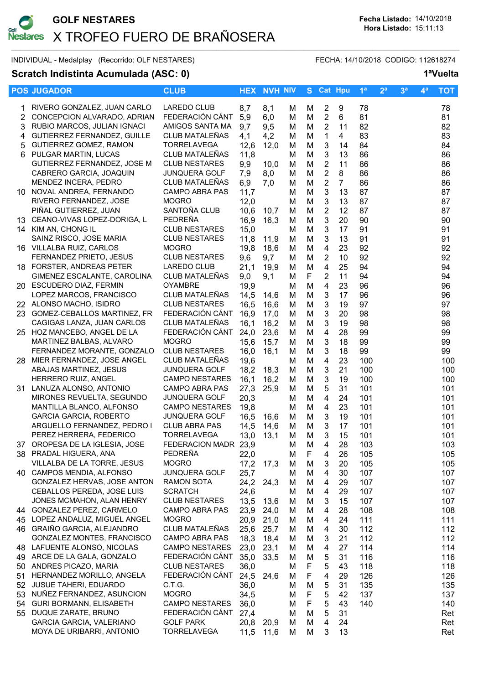

INDIVIDUAL - Medalplay (Recorrido: OLF NESTARES) FECHA: 14/10/2018 CODIGO: 112618274

## Scratch Indistinta Acumulada (ASC: 0) 1<sup>a</sup>Vuelta

|                | <b>POS JUGADOR</b>                                    | <b>CLUB</b>                              |              | <b>HEX NVH NIV</b> |        |        |                         | S Cat Hpu      | 1 <sup>a</sup> | 2 <sup>a</sup> | 3 <sup>a</sup> | 4 <sup>a</sup> | <b>TOT</b> |
|----------------|-------------------------------------------------------|------------------------------------------|--------------|--------------------|--------|--------|-------------------------|----------------|----------------|----------------|----------------|----------------|------------|
|                | RIVERO GONZALEZ, JUAN CARLO                           | <b>LAREDO CLUB</b>                       | 8,7          | 8,1                | м      | м      | $\overline{2}$          | 9              | 78             |                |                |                | 78         |
| $\overline{2}$ | CONCEPCION ALVARADO, ADRIAN                           | FEDERACIÓN CÁNT                          | 5,9          | 6,0                | М      | M      | $\sqrt{2}$              | 6              | 81             |                |                |                | 81         |
| 3              | RUBIO MARCOS, JULIAN IGNACI                           | AMIGOS SANTA MA                          | 9,7          | 9,5                | M      | M      | $\overline{2}$          | 11             | 82             |                |                |                | 82         |
| 4              | GUTIERREZ FERNANDEZ, GUILLE                           | CLUB MATALEÑAS                           | 4,1          | 4,2                | M      | M      | $\mathbf{1}$            | $\overline{4}$ | 83             |                |                |                | 83         |
| 5              | GUTIERREZ GOMEZ, RAMON                                | <b>TORRELAVEGA</b>                       | 12,6         | 12,0               | M      | M      | 3                       | 14             | 84             |                |                |                | 84         |
| 6              | PULGAR MARTIN, LUCAS                                  | CLUB MATALEÑAS                           | 11,8         |                    | м      | M      | 3                       | 13             | 86             |                |                |                | 86         |
|                | GUTIERREZ FERNANDEZ, JOSE M                           | <b>CLUB NESTARES</b>                     | 9,9          | 10,0               | м      | M      | $\overline{2}$          | 11             | 86             |                |                |                | 86         |
|                | CABRERO GARCIA, JOAQUIN                               | <b>JUNQUERA GOLF</b>                     | 7,9          | 8,0                | M      | М      | $\overline{2}$          | 8              | 86             |                |                |                | 86         |
|                | MENDEZ INCERA, PEDRO                                  | CLUB MATALEÑAS                           | 6,9          | 7,0                | M      | М      | $\sqrt{2}$              | $\overline{7}$ | 86             |                |                |                | 86         |
|                | 10 NOVAL ANDREA, FERNANDO                             | CAMPO ABRA PAS                           | 11,7         |                    | М      | M      | $\mathbf{3}$            | 13             | 87             |                |                |                | 87         |
|                | RIVERO FERNANDEZ, JOSE                                | <b>MOGRO</b>                             | 12,0         |                    | M      | M      | 3                       | 13             | 87             |                |                |                | 87         |
|                | PIÑAL GUTIERREZ, JUAN                                 | SANTOÑA CLUB                             | 10,6         | 10,7               | M      | M      | $\sqrt{2}$              | 12             | 87             |                |                |                | 87         |
|                | 13 CEANO-VIVAS LOPEZ-DORIGA, L                        | PEDREÑA                                  | 16,9         | 16,3               | M      | M      | $\mathfrak{B}$          | 20             | 90             |                |                |                | 90         |
|                | 14 KIM AN, CHONG IL                                   | <b>CLUB NESTARES</b>                     | 15,0         |                    | M      | M      | $\mathfrak{B}$          | 17             | 91             |                |                |                | 91         |
|                | SAINZ RISCO, JOSE MARIA                               | <b>CLUB NESTARES</b>                     | 11,8         | 11,9               | м      | M      | $\mathbf{3}$            | 13             | 91             |                |                |                | 91         |
|                | 16 VILLALBA RUIZ, CARLOS                              | <b>MOGRO</b>                             | 19,8         | 18,6               | M      | M      | $\overline{4}$          | 23             | 92             |                |                |                | 92         |
|                | FERNANDEZ PRIETO, JESUS                               | <b>CLUB NESTARES</b>                     | 9,6          | 9,7                | м      | M      | $\overline{2}$          | 10             | 92             |                |                |                | 92         |
|                | 18 FORSTER, ANDREAS PETER                             | <b>LAREDO CLUB</b>                       | 21,1         | 19,9               | M      | M      | $\overline{4}$          | 25             | 94             |                |                |                | 94         |
|                | GIMENEZ ESCALANTE, CAROLINA                           | CLUB MATALEÑAS                           | 9,0          | 9,1                | M      | F      | $\overline{2}$          | 11             | 94             |                |                |                | 94         |
|                | 20 ESCUDERO DIAZ, FERMIN                              | <b>OYAMBRE</b>                           | 19,9         |                    | м      | M      | $\overline{4}$          | 23             | 96             |                |                |                | 96         |
|                | LOPEZ MARCOS, FRANCISCO                               | CLUB MATALEÑAS                           | 14,5         | 14,6               | M      | M      | 3                       | 17             | 96             |                |                |                | 96         |
|                | 22 ALONSO MACHO, ISIDRO                               | <b>CLUB NESTARES</b>                     | 16,5         | 16,6               | M      | М      | 3                       | 19             | 97             |                |                |                | 97         |
|                | 23 GOMEZ-CEBALLOS MARTINEZ, FR                        | FEDERACIÓN CÁNT                          | 16,9         | 17,0               | M      | М      | $\mathbf{3}$            | 20             | 98             |                |                |                | 98         |
|                | CAGIGAS LANZA, JUAN CARLOS                            | CLUB MATALEÑAS                           | 16,1         | 16,2               | M      | M      | $\mathfrak{B}$          | 19             | 98             |                |                |                | 98         |
|                | 25 HOZ MANCEBO, ANGEL DE LA                           | FEDERACIÓN CÁNT                          | 24,0         | 23,6               | M      | M      | $\overline{4}$          | 28             | 99             |                |                |                | 99         |
|                | MARTINEZ BALBAS, ALVARO                               | <b>MOGRO</b>                             | 15,6         | 15,7               | M      | M      | $\mathfrak{B}$          | 18             | 99             |                |                |                | 99         |
|                | FERNANDEZ MORANTE, GONZALO                            | <b>CLUB NESTARES</b>                     | 16,0         | 16,1               | M      | M      | $\mathfrak{B}$          | 18             | 99             |                |                |                | 99         |
|                | 28 MIER FERNANDEZ, JOSE ANGEL                         | CLUB MATALEÑAS                           | 19,6         |                    | M      | M      | $\overline{\mathbf{4}}$ | 23             | 100            |                |                |                | 100        |
|                | ABAJAS MARTINEZ, JESUS                                | <b>JUNQUERA GOLF</b>                     | 18,2         | 18,3               | м      | M      | 3                       | 21             | 100            |                |                |                | 100        |
|                | HERRERO RUIZ, ANGEL                                   | <b>CAMPO NESTARES</b>                    | 16,1         | 16,2               | M      | M      | 3                       | 19             | 100            |                |                |                | 100        |
|                | 31 LANUZA ALONSO, ANTONIO                             | <b>CAMPO ABRA PAS</b>                    | 27,3         | 25,9               | M      | M      | 5                       | 31             | 101            |                |                |                | 101        |
|                | MIRONES REVUELTA, SEGUNDO                             | <b>JUNQUERA GOLF</b>                     | 20,3         |                    | M      | M      | $\overline{4}$          | 24             | 101            |                |                |                | 101        |
|                | MANTILLA BLANCO, ALFONSO                              | <b>CAMPO NESTARES</b>                    | 19,8         |                    | м      | M      | $\overline{\mathbf{4}}$ | 23             | 101            |                |                |                | 101        |
|                | <b>GARCIA GARCIA, ROBERTO</b>                         | <b>JUNQUERA GOLF</b>                     | 16,5         | 16,6               | M      | М      | $\mathbf{3}$            | 19             | 101            |                |                |                | 101        |
|                | ARGUELLO FERNANDEZ, PEDRO I                           | <b>CLUB ABRA PAS</b>                     | 14,5         | 14,6               | м      | M      | 3                       | 17             | 101            |                |                |                | 101        |
|                | PEREZ HERRERA, FEDERICO                               | <b>TORRELAVEGA</b>                       | 13,0         | 13,1               | М      | M      | 3                       | 15             | 101            |                |                |                | 101        |
|                | 37 OROPESA DE LA IGLESIA, JOSE                        | FEDERACION MADR 23,9                     |              |                    | м      | M      | 4                       | 28             | 103            |                |                |                | 103        |
|                | 38 PRADAL HIGUERA, ANA                                | PEDREÑA                                  | 22,0         |                    | М      | F      | 4                       | 26             | 105            |                |                |                | 105        |
|                | VILLALBA DE LA TORRE, JESUS                           | <b>MOGRO</b>                             | 17,2         | 17,3               | M      | M      | 3                       | 20             | 105            |                |                |                | 105        |
|                | 40 CAMPOS MENDIA, ALFONSO                             | <b>JUNQUERA GOLF</b>                     | 25,7         |                    | М      | M      | $\overline{\mathbf{4}}$ | 30             | 107            |                |                |                | 107        |
|                | GONZALEZ HERVAS, JOSE ANTON                           | <b>RAMON SOTA</b>                        | 24,2         | 24,3               | M      | M      | 4                       | 29             | 107            |                |                |                | 107        |
|                | CEBALLOS PEREDA, JOSE LUIS                            | <b>SCRATCH</b>                           | 24,6         |                    | М      | M      | 4                       | 29             | 107            |                |                |                | 107        |
|                | JONES MCMAHON, ALAN HENRY                             | <b>CLUB NESTARES</b>                     | 13,5         | 13,6               | м      | M      | 3                       | 15             | 107            |                |                |                | 107        |
|                | 44 GONZALEZ PEREZ, CARMELO                            | <b>CAMPO ABRA PAS</b>                    | 23,9         | 24,0               | м      | М      | 4                       | 28             | 108            |                |                |                | 108        |
|                | 45 LOPEZ ANDALUZ, MIGUEL ANGEL                        | <b>MOGRO</b>                             | 20,9         | 21,0               | м      | М      | 4                       | 24             | 111            |                |                |                | 111        |
|                | 46 GRAIÑO GARCIA, ALEJANDRO                           | CLUB MATALEÑAS                           | 25,6         | 25,7               | м      | М      | 4                       | 30             | 112            |                |                |                | 112        |
|                | GONZALEZ MONTES, FRANCISCO                            | CAMPO ABRA PAS                           | 18,3         | 18,4               | м      | M      | 3                       | 21             | 112            |                |                |                | 112        |
|                | 48 LAFUENTE ALONSO, NICOLAS                           | <b>CAMPO NESTARES</b>                    | 23,0         | 23,1               | м      | M      | 4                       | 27             | 114            |                |                |                | 114        |
|                | 49 ARCE DE LA GALA, GONZALO                           | FEDERACIÓN CÁNT                          | 35,0         | 33,5               | М      | M      | 5                       | 31             | 116            |                |                |                | 116        |
|                | 50 ANDRES PICAZO, MARIA                               | <b>CLUB NESTARES</b><br>FEDERACIÓN CÁNT  | 36,0         |                    | M      | F      | 5                       | 43             | 118            |                |                |                | 118        |
| 51             | HERNANDEZ MORILLO, ANGELA                             |                                          | 24,5         | 24,6               | м      | F      | 4                       | 29             | 126            |                |                |                | 126        |
|                | 52 JUSUE TAHERI, EDUARDO<br>NUÑEZ FERNANDEZ, ASUNCION | C.T.G.                                   | 36,0         |                    | M      | M      | 5                       | 31             | 135            |                |                |                | 135        |
| 53             | <b>GURI BORMANN, ELISABETH</b>                        | <b>MOGRO</b>                             | 34,5         |                    | M      | F      | 5                       | 42             | 137            |                |                |                | 137        |
| 54             | DUQUE ZARATE, BRUNO                                   | <b>CAMPO NESTARES</b><br>FEDERACIÓN CÁNT | 36,0         |                    | M      | F      | 5                       | 43             | 140            |                |                |                | 140        |
| 55             | GARCIA GARCIA, VALERIANO                              | <b>GOLF PARK</b>                         | 27,4<br>20,8 | 20,9               | М      | M<br>M | 5<br>4                  | 31<br>24       |                |                |                |                | Ret<br>Ret |
|                | MOYA DE URIBARRI, ANTONIO                             | <b>TORRELAVEGA</b>                       | 11,5         | 11,6               | M<br>М | М      | 3                       | 13             |                |                |                |                | Ret        |
|                |                                                       |                                          |              |                    |        |        |                         |                |                |                |                |                |            |